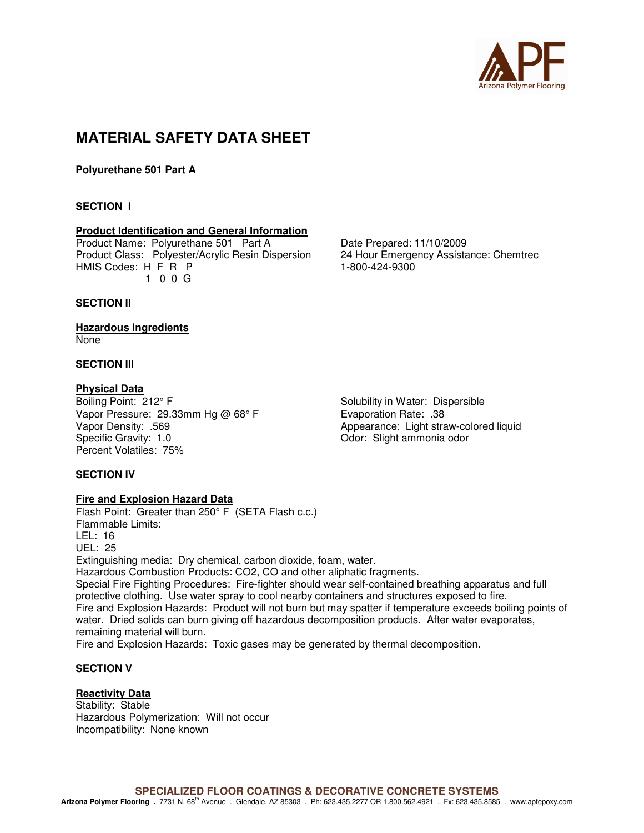

# **MATERIAL SAFETY DATA SHEET**

**Polyurethane 501 Part A** 

# **SECTION I**

# **Product Identification and General Information**

Product Name: Polyurethane 501 Part A Date Prepared: 11/10/2009 Product Class: Polyester/Acrylic Resin Dispersion 24 Hour Emergency Assistance: Chemtrec HMIS Codes: H F R P 1-800-424-9300 1 0 0 G

# **SECTION II**

#### **Hazardous Ingredients**  None

# **SECTION III**

**Physical Data**<br>Boiling Point: 212° F Vapor Pressure: 29.33mm Hg @ 68° F Evaporation Rate: .38 Vapor Density: .569 <br>
Specific Gravity: 1.0 <br>
Odor: Slight ammonia odor<br>
Odor: Slight ammonia odor Percent Volatiles: 75%

Solubility in Water: Dispersible Odor: Slight ammonia odor

# **SECTION IV**

# **Fire and Explosion Hazard Data**

Flash Point: Greater than 250° F (SETA Flash c.c.) Flammable Limits: LEL: 16 UEL: 25 Extinguishing media: Dry chemical, carbon dioxide, foam, water. Hazardous Combustion Products: CO2, CO and other aliphatic fragments. Special Fire Fighting Procedures: Fire-fighter should wear self-contained breathing apparatus and full protective clothing. Use water spray to cool nearby containers and structures exposed to fire. Fire and Explosion Hazards: Product will not burn but may spatter if temperature exceeds boiling points of water. Dried solids can burn giving off hazardous decomposition products. After water evaporates, remaining material will burn. Fire and Explosion Hazards: Toxic gases may be generated by thermal decomposition.

# **SECTION V**

# **Reactivity Data**

Stability: Stable Hazardous Polymerization: Will not occur Incompatibility: None known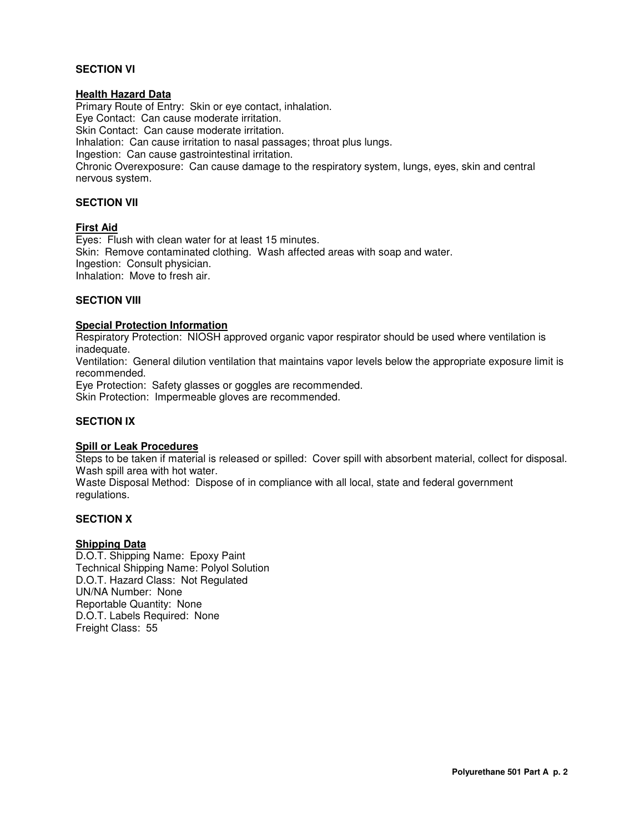# **SECTION VI**

# **Health Hazard Data**

Primary Route of Entry: Skin or eye contact, inhalation. Eye Contact: Can cause moderate irritation. Skin Contact: Can cause moderate irritation. Inhalation: Can cause irritation to nasal passages; throat plus lungs. Ingestion: Can cause gastrointestinal irritation. Chronic Overexposure: Can cause damage to the respiratory system, lungs, eyes, skin and central nervous system.

# **SECTION VII**

#### **First Aid**

Eyes: Flush with clean water for at least 15 minutes. Skin: Remove contaminated clothing. Wash affected areas with soap and water. Ingestion: Consult physician. Inhalation: Move to fresh air.

#### **SECTION VIII**

# **Special Protection Information**

Respiratory Protection: NIOSH approved organic vapor respirator should be used where ventilation is inadequate.

Ventilation: General dilution ventilation that maintains vapor levels below the appropriate exposure limit is recommended.

Eye Protection: Safety glasses or goggles are recommended. Skin Protection: Impermeable gloves are recommended.

# **SECTION IX**

# **Spill or Leak Procedures**

Steps to be taken if material is released or spilled: Cover spill with absorbent material, collect for disposal. Wash spill area with hot water.

Waste Disposal Method: Dispose of in compliance with all local, state and federal government regulations.

#### **SECTION X**

# **Shipping Data**

D.O.T. Shipping Name: Epoxy Paint Technical Shipping Name: Polyol Solution D.O.T. Hazard Class: Not Regulated UN/NA Number: None Reportable Quantity: None D.O.T. Labels Required: None Freight Class: 55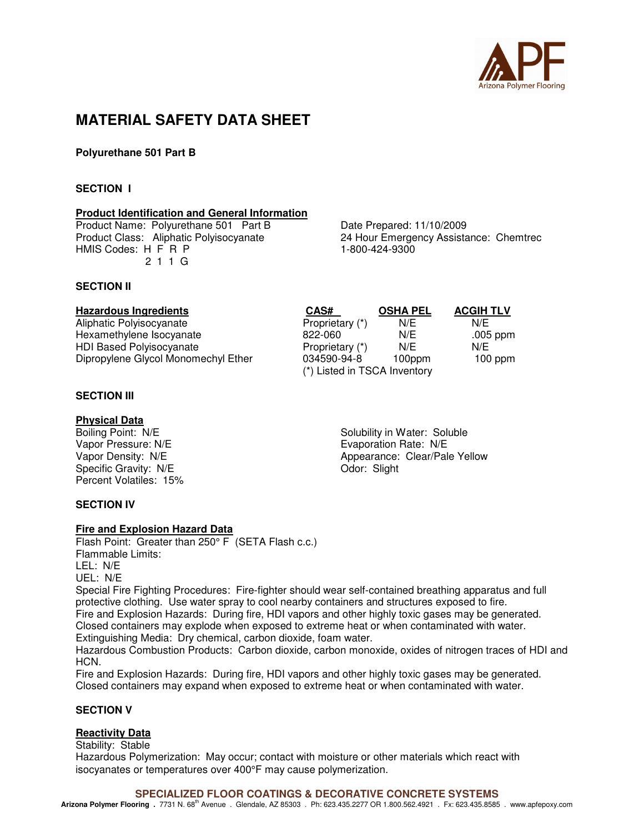

# **MATERIAL SAFETY DATA SHEET**

**Polyurethane 501 Part B** 

# **SECTION I**

#### **Product Identification and General Information**

Product Name: Polyurethane 501 Part B<br>
Product Class: Aliphatic Polyisocyanate<br>
24 Hour Emergency Assista HMIS Codes: H F R P 1-800-424-9300 2 1 1 G

24 Hour Emergency Assistance: Chemtrec

# **SECTION II**

| <b>Hazardous Ingredients</b>        | CAS#                         | <b>OSHA PEL</b> | <b>ACGIH TLV</b> |
|-------------------------------------|------------------------------|-----------------|------------------|
| Aliphatic Polyisocyanate            | Proprietary (*)              | N/E             | N/F              |
| Hexamethylene Isocyanate            | 822-060                      | N/E             | .005 ppm         |
| <b>HDI Based Polyisocyanate</b>     | Proprietary (*)              | N/E             | N/E              |
| Dipropylene Glycol Monomechyl Ether | 034590-94-8                  | 100ppm          | $100$ ppm        |
|                                     | (*) Listed in TSCA Inventory |                 |                  |

# **SECTION III**

**Physical Data**<br>Boiling Point: N/E Vapor Pressure: N/E<br>
Vapor Density: N/E<br>
Vapor Density: N/E<br>
Vapor Density: N/E Specific Gravity: N/E Percent Volatiles: 15%

Solubility in Water: Soluble Appearance: Clear/Pale Yellow<br>Odor: Slight

# **SECTION IV**

# **Fire and Explosion Hazard Data**

Flash Point: Greater than 250° F (SETA Flash c.c.) Flammable Limits: LEL: N/E UEL: N/E

Special Fire Fighting Procedures: Fire-fighter should wear self-contained breathing apparatus and full protective clothing. Use water spray to cool nearby containers and structures exposed to fire. Fire and Explosion Hazards: During fire, HDI vapors and other highly toxic gases may be generated. Closed containers may explode when exposed to extreme heat or when contaminated with water. Extinguishing Media: Dry chemical, carbon dioxide, foam water.

Hazardous Combustion Products: Carbon dioxide, carbon monoxide, oxides of nitrogen traces of HDI and HCN.

Fire and Explosion Hazards: During fire, HDI vapors and other highly toxic gases may be generated. Closed containers may expand when exposed to extreme heat or when contaminated with water.

# **SECTION V**

# **Reactivity Data**

Stability: Stable

Hazardous Polymerization: May occur; contact with moisture or other materials which react with isocyanates or temperatures over 400°F may cause polymerization.